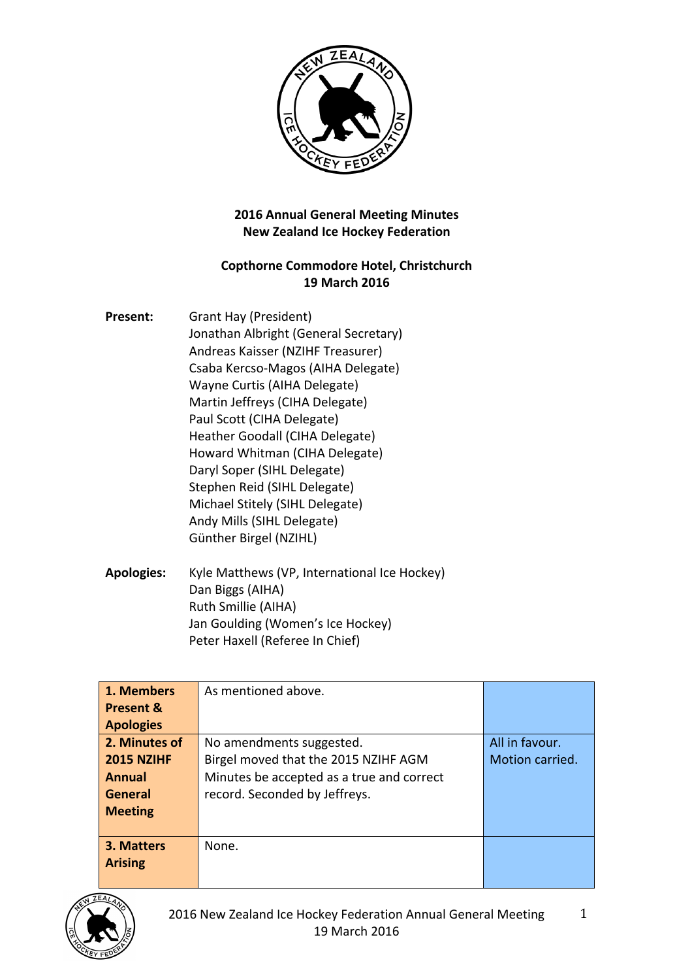

## **2016 Annual General Meeting Minutes New Zealand Ice Hockey Federation**

## **Copthorne Commodore Hotel, Christchurch 19 March 2016**

- **Present:** Grant Hay (President) Jonathan Albright (General Secretary) Andreas Kaisser (NZIHF Treasurer) Csaba Kercso-Magos (AIHA Delegate) Wayne Curtis (AIHA Delegate) Martin Jeffreys (CIHA Delegate) Paul Scott (CIHA Delegate) Heather Goodall (CIHA Delegate) Howard Whitman (CIHA Delegate) Daryl Soper (SIHL Delegate) Stephen Reid (SIHL Delegate) Michael Stitely (SIHL Delegate) Andy Mills (SIHL Delegate) Günther Birgel (NZIHL)
- Apologies: Kyle Matthews (VP, International Ice Hockey) Dan Biggs (AIHA) Ruth Smillie (AIHA) Jan Goulding (Women's Ice Hockey) Peter Haxell (Referee In Chief)

| 1. Members           | As mentioned above.                       |                 |
|----------------------|-------------------------------------------|-----------------|
| <b>Present &amp;</b> |                                           |                 |
| <b>Apologies</b>     |                                           |                 |
| 2. Minutes of        | No amendments suggested.                  | All in favour.  |
| <b>2015 NZIHF</b>    | Birgel moved that the 2015 NZIHF AGM      | Motion carried. |
| <b>Annual</b>        | Minutes be accepted as a true and correct |                 |
| General              | record. Seconded by Jeffreys.             |                 |
| <b>Meeting</b>       |                                           |                 |
|                      |                                           |                 |
| 3. Matters           | None.                                     |                 |
| <b>Arising</b>       |                                           |                 |
|                      |                                           |                 |

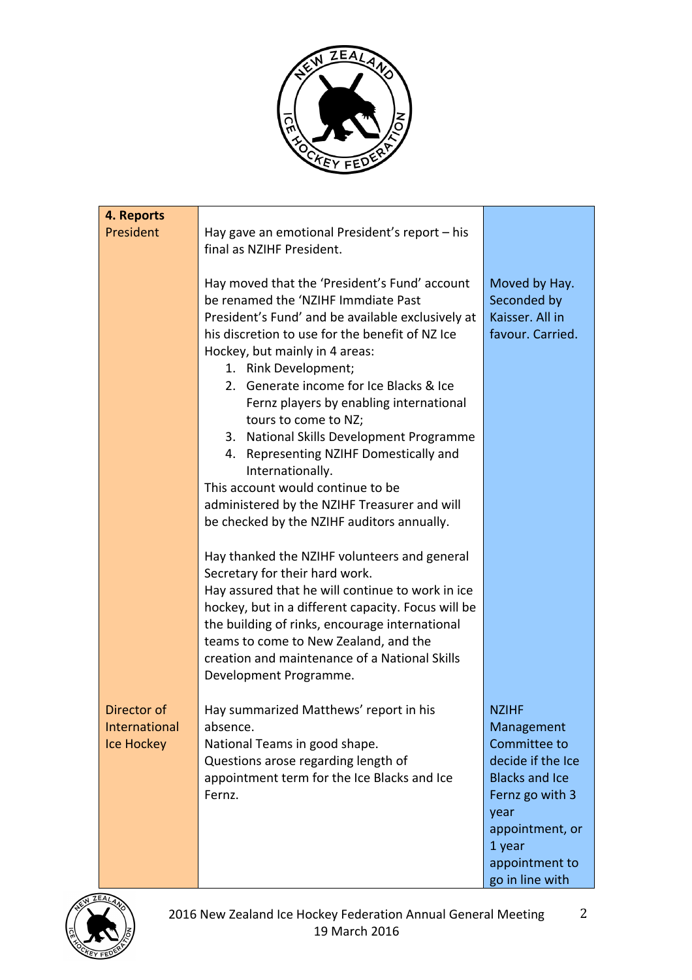

| 4. Reports                                 |                                                                                                                                                                                                                                                                                                                                                                                                                                                                                                                                                                                                                   |                                                                                                                                                                                       |
|--------------------------------------------|-------------------------------------------------------------------------------------------------------------------------------------------------------------------------------------------------------------------------------------------------------------------------------------------------------------------------------------------------------------------------------------------------------------------------------------------------------------------------------------------------------------------------------------------------------------------------------------------------------------------|---------------------------------------------------------------------------------------------------------------------------------------------------------------------------------------|
| President                                  | Hay gave an emotional President's report - his<br>final as NZIHF President.                                                                                                                                                                                                                                                                                                                                                                                                                                                                                                                                       |                                                                                                                                                                                       |
|                                            | Hay moved that the 'President's Fund' account<br>be renamed the 'NZIHF Immdiate Past<br>President's Fund' and be available exclusively at<br>his discretion to use for the benefit of NZ Ice<br>Hockey, but mainly in 4 areas:<br>1. Rink Development;<br>2. Generate income for Ice Blacks & Ice<br>Fernz players by enabling international<br>tours to come to NZ;<br>3. National Skills Development Programme<br>4. Representing NZIHF Domestically and<br>Internationally.<br>This account would continue to be<br>administered by the NZIHF Treasurer and will<br>be checked by the NZIHF auditors annually. | Moved by Hay.<br>Seconded by<br>Kaisser. All in<br>favour. Carried.                                                                                                                   |
|                                            | Hay thanked the NZIHF volunteers and general<br>Secretary for their hard work.<br>Hay assured that he will continue to work in ice<br>hockey, but in a different capacity. Focus will be<br>the building of rinks, encourage international<br>teams to come to New Zealand, and the<br>creation and maintenance of a National Skills<br>Development Programme.                                                                                                                                                                                                                                                    |                                                                                                                                                                                       |
| Director of<br>International<br>Ice Hockey | Hay summarized Matthews' report in his<br>absence.<br>National Teams in good shape.<br>Questions arose regarding length of<br>appointment term for the Ice Blacks and Ice<br>Fernz.                                                                                                                                                                                                                                                                                                                                                                                                                               | <b>NZIHF</b><br>Management<br>Committee to<br>decide if the Ice<br><b>Blacks and Ice</b><br>Fernz go with 3<br>year<br>appointment, or<br>1 year<br>appointment to<br>go in line with |

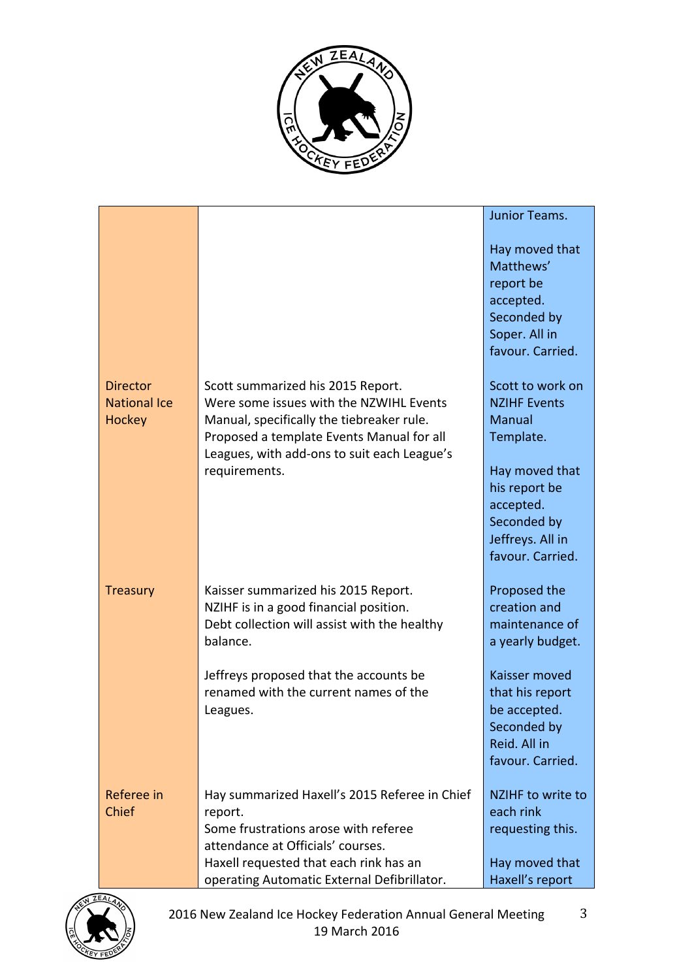

|                                                  |                                                                                                                                                                                                                                          | Junior Teams.                                                                                                                                                                |
|--------------------------------------------------|------------------------------------------------------------------------------------------------------------------------------------------------------------------------------------------------------------------------------------------|------------------------------------------------------------------------------------------------------------------------------------------------------------------------------|
|                                                  |                                                                                                                                                                                                                                          | Hay moved that<br>Matthews'<br>report be<br>accepted.<br>Seconded by<br>Soper. All in<br>favour. Carried.                                                                    |
| <b>Director</b><br><b>National Ice</b><br>Hockey | Scott summarized his 2015 Report.<br>Were some issues with the NZWIHL Events<br>Manual, specifically the tiebreaker rule.<br>Proposed a template Events Manual for all<br>Leagues, with add-ons to suit each League's<br>requirements.   | Scott to work on<br><b>NZIHF Events</b><br><b>Manual</b><br>Template.<br>Hay moved that<br>his report be<br>accepted.<br>Seconded by<br>Jeffreys. All in<br>favour. Carried. |
| <b>Treasury</b>                                  | Kaisser summarized his 2015 Report.<br>NZIHF is in a good financial position.<br>Debt collection will assist with the healthy<br>balance.<br>Jeffreys proposed that the accounts be<br>renamed with the current names of the<br>Leagues. | Proposed the<br>creation and<br>maintenance of<br>a yearly budget.<br>Kaisser moved<br>that his report<br>be accepted.<br>Seconded by<br>Reid. All in<br>favour. Carried.    |
| Referee in<br><b>Chief</b>                       | Hay summarized Haxell's 2015 Referee in Chief<br>report.<br>Some frustrations arose with referee<br>attendance at Officials' courses.<br>Haxell requested that each rink has an<br>operating Automatic External Defibrillator.           | NZIHF to write to<br>each rink<br>requesting this.<br>Hay moved that<br>Haxell's report                                                                                      |

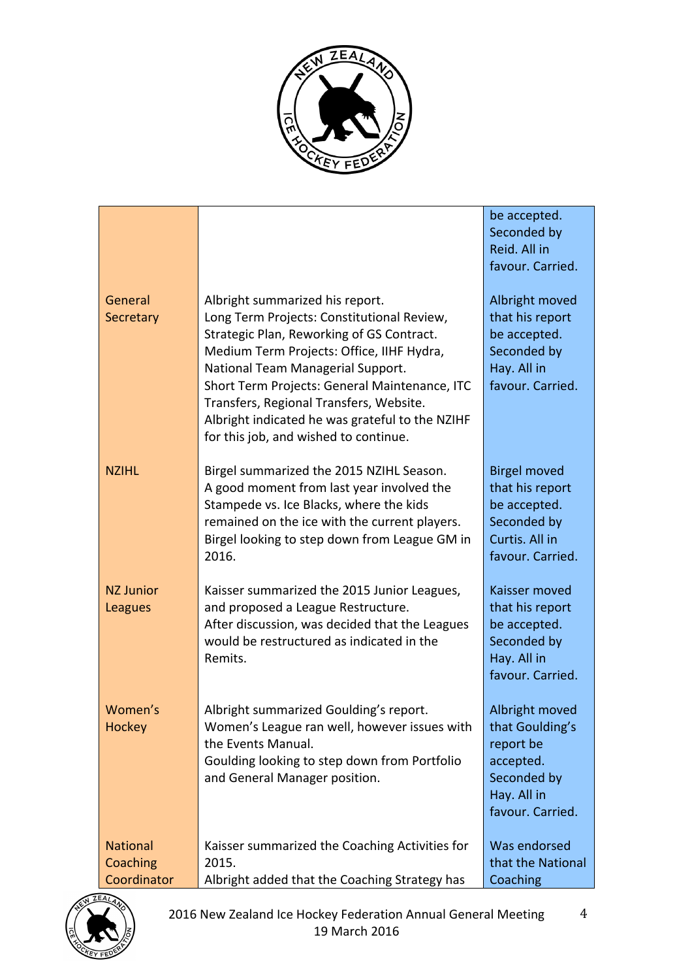

|                                            |                                                                                                                                                                                                                                                                                                                                                                                                      | be accepted.<br>Seconded by<br>Reid. All in<br>favour. Carried.                                               |
|--------------------------------------------|------------------------------------------------------------------------------------------------------------------------------------------------------------------------------------------------------------------------------------------------------------------------------------------------------------------------------------------------------------------------------------------------------|---------------------------------------------------------------------------------------------------------------|
| General<br>Secretary                       | Albright summarized his report.<br>Long Term Projects: Constitutional Review,<br>Strategic Plan, Reworking of GS Contract.<br>Medium Term Projects: Office, IIHF Hydra,<br>National Team Managerial Support.<br>Short Term Projects: General Maintenance, ITC<br>Transfers, Regional Transfers, Website.<br>Albright indicated he was grateful to the NZIHF<br>for this job, and wished to continue. | Albright moved<br>that his report<br>be accepted.<br>Seconded by<br>Hay. All in<br>favour. Carried.           |
| <b>NZIHL</b>                               | Birgel summarized the 2015 NZIHL Season.<br>A good moment from last year involved the<br>Stampede vs. Ice Blacks, where the kids<br>remained on the ice with the current players.<br>Birgel looking to step down from League GM in<br>2016.                                                                                                                                                          | <b>Birgel moved</b><br>that his report<br>be accepted.<br>Seconded by<br>Curtis. All in<br>favour. Carried.   |
| <b>NZ Junior</b><br>Leagues                | Kaisser summarized the 2015 Junior Leagues,<br>and proposed a League Restructure.<br>After discussion, was decided that the Leagues<br>would be restructured as indicated in the<br>Remits.                                                                                                                                                                                                          | Kaisser moved<br>that his report<br>be accepted.<br>Seconded by<br>Hay. All in<br>favour. Carried.            |
| Women's<br><b>Hockey</b>                   | Albright summarized Goulding's report.<br>Women's League ran well, however issues with<br>the Events Manual.<br>Goulding looking to step down from Portfolio<br>and General Manager position.                                                                                                                                                                                                        | Albright moved<br>that Goulding's<br>report be<br>accepted.<br>Seconded by<br>Hay. All in<br>favour. Carried. |
| <b>National</b><br>Coaching<br>Coordinator | Kaisser summarized the Coaching Activities for<br>2015.<br>Albright added that the Coaching Strategy has                                                                                                                                                                                                                                                                                             | Was endorsed<br>that the National<br>Coaching                                                                 |

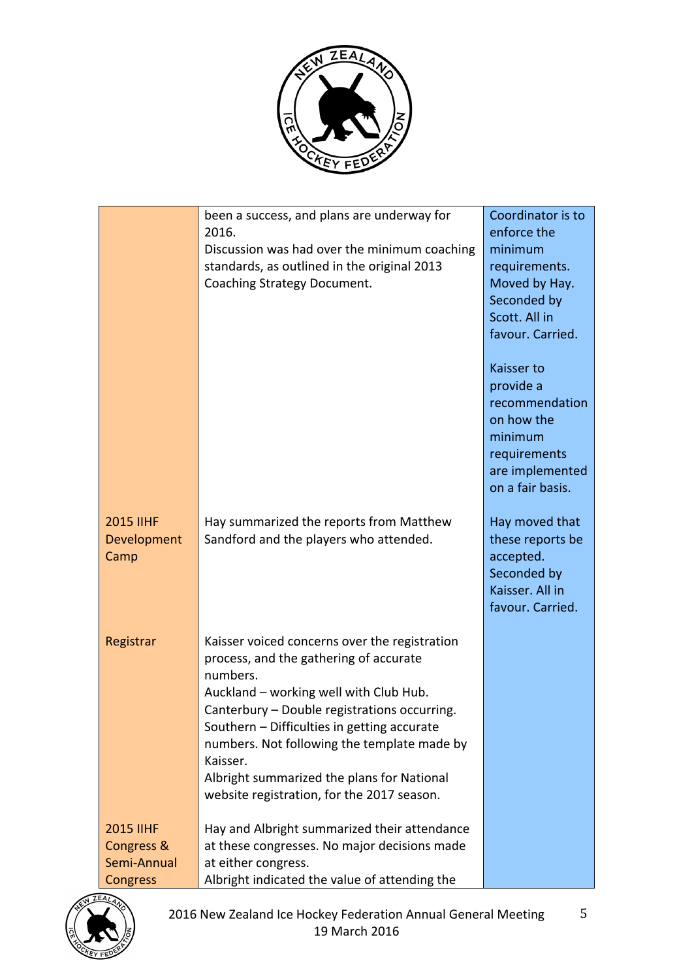

|                                                           | been a success, and plans are underway for<br>2016.<br>Discussion was had over the minimum coaching<br>standards, as outlined in the original 2013<br>Coaching Strategy Document.                                                                                                                                                                                                                   | Coordinator is to<br>enforce the<br>minimum<br>requirements.<br>Moved by Hay.<br>Seconded by<br>Scott. All in<br>favour. Carried. |
|-----------------------------------------------------------|-----------------------------------------------------------------------------------------------------------------------------------------------------------------------------------------------------------------------------------------------------------------------------------------------------------------------------------------------------------------------------------------------------|-----------------------------------------------------------------------------------------------------------------------------------|
|                                                           |                                                                                                                                                                                                                                                                                                                                                                                                     | Kaisser to<br>provide a<br>recommendation<br>on how the<br>minimum<br>requirements<br>are implemented<br>on a fair basis.         |
| <b>2015 IIHF</b><br>Development<br>Camp                   | Hay summarized the reports from Matthew<br>Sandford and the players who attended.                                                                                                                                                                                                                                                                                                                   | Hay moved that<br>these reports be<br>accepted.<br>Seconded by<br>Kaisser. All in<br>favour. Carried.                             |
| Registrar                                                 | Kaisser voiced concerns over the registration<br>process, and the gathering of accurate<br>numbers.<br>Auckland - working well with Club Hub.<br>Canterbury - Double registrations occurring.<br>Southern - Difficulties in getting accurate<br>numbers. Not following the template made by<br>Kaisser.<br>Albright summarized the plans for National<br>website registration, for the 2017 season. |                                                                                                                                   |
| <b>2015 IIHF</b><br>Congress &<br>Semi-Annual<br>Congress | Hay and Albright summarized their attendance<br>at these congresses. No major decisions made<br>at either congress.<br>Albright indicated the value of attending the                                                                                                                                                                                                                                |                                                                                                                                   |

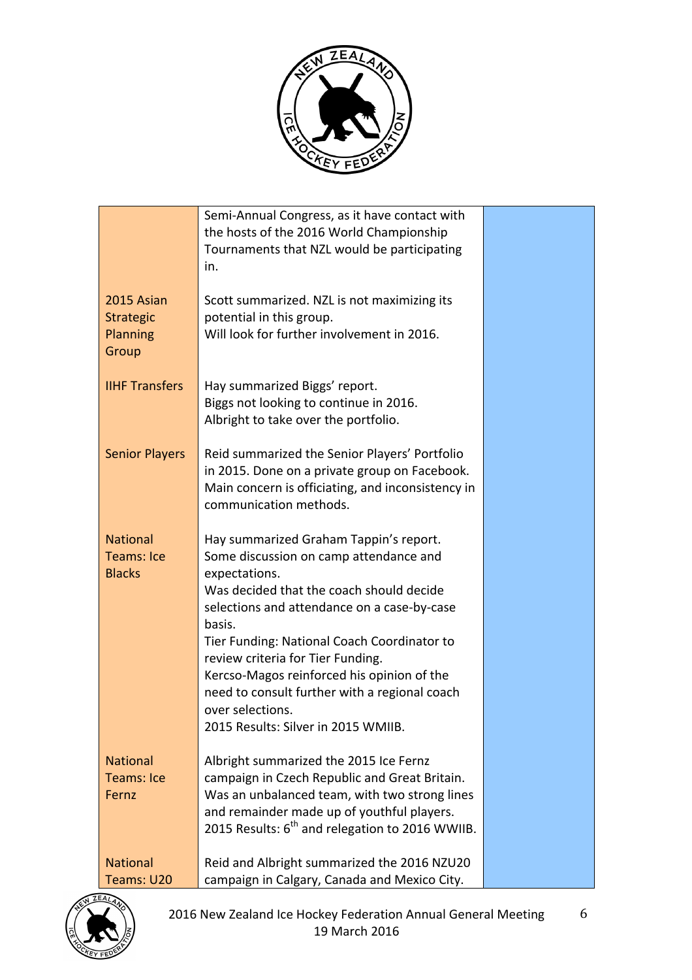

|                                                            | Semi-Annual Congress, as it have contact with<br>the hosts of the 2016 World Championship<br>Tournaments that NZL would be participating                                                                                                                                                                                                                                                                                                             |  |
|------------------------------------------------------------|------------------------------------------------------------------------------------------------------------------------------------------------------------------------------------------------------------------------------------------------------------------------------------------------------------------------------------------------------------------------------------------------------------------------------------------------------|--|
|                                                            | in.                                                                                                                                                                                                                                                                                                                                                                                                                                                  |  |
| 2015 Asian<br><b>Strategic</b><br><b>Planning</b><br>Group | Scott summarized. NZL is not maximizing its<br>potential in this group.<br>Will look for further involvement in 2016.                                                                                                                                                                                                                                                                                                                                |  |
| <b>IIHF Transfers</b>                                      | Hay summarized Biggs' report.<br>Biggs not looking to continue in 2016.<br>Albright to take over the portfolio.                                                                                                                                                                                                                                                                                                                                      |  |
| <b>Senior Players</b>                                      | Reid summarized the Senior Players' Portfolio<br>in 2015. Done on a private group on Facebook.<br>Main concern is officiating, and inconsistency in<br>communication methods.                                                                                                                                                                                                                                                                        |  |
| <b>National</b><br><b>Teams: Ice</b><br><b>Blacks</b>      | Hay summarized Graham Tappin's report.<br>Some discussion on camp attendance and<br>expectations.<br>Was decided that the coach should decide<br>selections and attendance on a case-by-case<br>basis.<br>Tier Funding: National Coach Coordinator to<br>review criteria for Tier Funding.<br>Kercso-Magos reinforced his opinion of the<br>need to consult further with a regional coach<br>over selections.<br>2015 Results: Silver in 2015 WMIIB. |  |
| <b>National</b><br><b>Teams: Ice</b><br>Fernz              | Albright summarized the 2015 Ice Fernz<br>campaign in Czech Republic and Great Britain.<br>Was an unbalanced team, with two strong lines<br>and remainder made up of youthful players.<br>2015 Results: 6 <sup>th</sup> and relegation to 2016 WWIIB.                                                                                                                                                                                                |  |
| <b>National</b><br>Teams: U20                              | Reid and Albright summarized the 2016 NZU20<br>campaign in Calgary, Canada and Mexico City.                                                                                                                                                                                                                                                                                                                                                          |  |

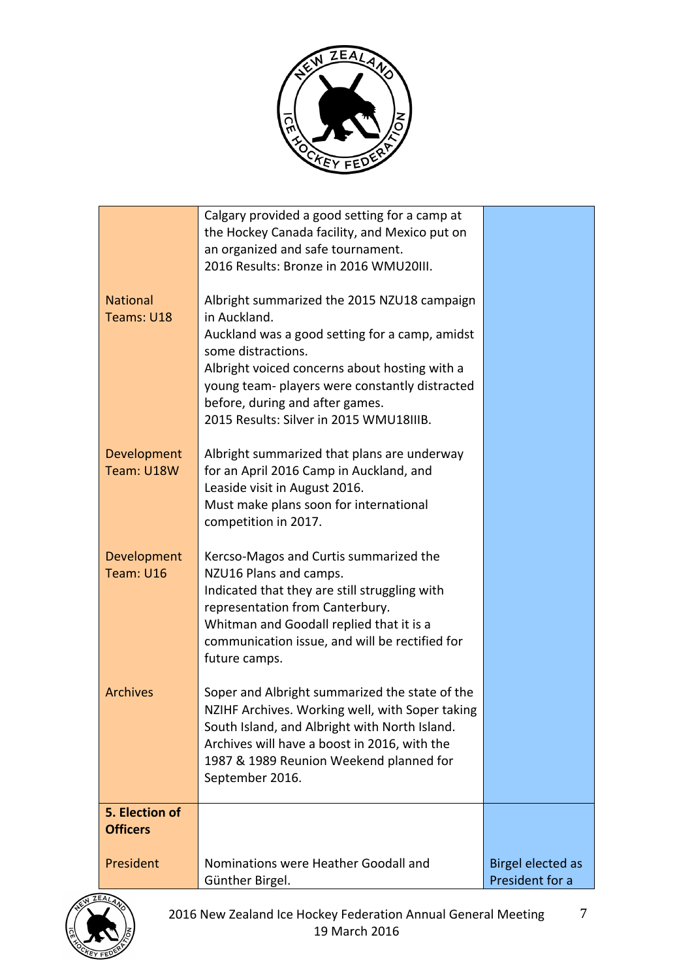

|                                   | Calgary provided a good setting for a camp at                                                                                                                                                                                                                       |                                      |
|-----------------------------------|---------------------------------------------------------------------------------------------------------------------------------------------------------------------------------------------------------------------------------------------------------------------|--------------------------------------|
|                                   | the Hockey Canada facility, and Mexico put on                                                                                                                                                                                                                       |                                      |
|                                   | an organized and safe tournament.                                                                                                                                                                                                                                   |                                      |
|                                   | 2016 Results: Bronze in 2016 WMU20III.                                                                                                                                                                                                                              |                                      |
| <b>National</b><br>Teams: U18     | Albright summarized the 2015 NZU18 campaign<br>in Auckland.<br>Auckland was a good setting for a camp, amidst<br>some distractions.<br>Albright voiced concerns about hosting with a                                                                                |                                      |
|                                   | young team-players were constantly distracted<br>before, during and after games.<br>2015 Results: Silver in 2015 WMU18IIIB.                                                                                                                                         |                                      |
|                                   |                                                                                                                                                                                                                                                                     |                                      |
| Development                       | Albright summarized that plans are underway                                                                                                                                                                                                                         |                                      |
| Team: U18W                        | for an April 2016 Camp in Auckland, and                                                                                                                                                                                                                             |                                      |
|                                   | Leaside visit in August 2016.<br>Must make plans soon for international                                                                                                                                                                                             |                                      |
|                                   | competition in 2017.                                                                                                                                                                                                                                                |                                      |
| Development<br>Team: U16          | Kercso-Magos and Curtis summarized the<br>NZU16 Plans and camps.<br>Indicated that they are still struggling with<br>representation from Canterbury.<br>Whitman and Goodall replied that it is a<br>communication issue, and will be rectified for<br>future camps. |                                      |
| <b>Archives</b>                   | Soper and Albright summarized the state of the<br>NZIHF Archives. Working well, with Soper taking<br>South Island, and Albright with North Island.<br>Archives will have a boost in 2016, with the<br>1987 & 1989 Reunion Weekend planned for<br>September 2016.    |                                      |
| 5. Election of<br><b>Officers</b> |                                                                                                                                                                                                                                                                     |                                      |
| President                         | Nominations were Heather Goodall and<br>Günther Birgel.                                                                                                                                                                                                             | Birgel elected as<br>President for a |

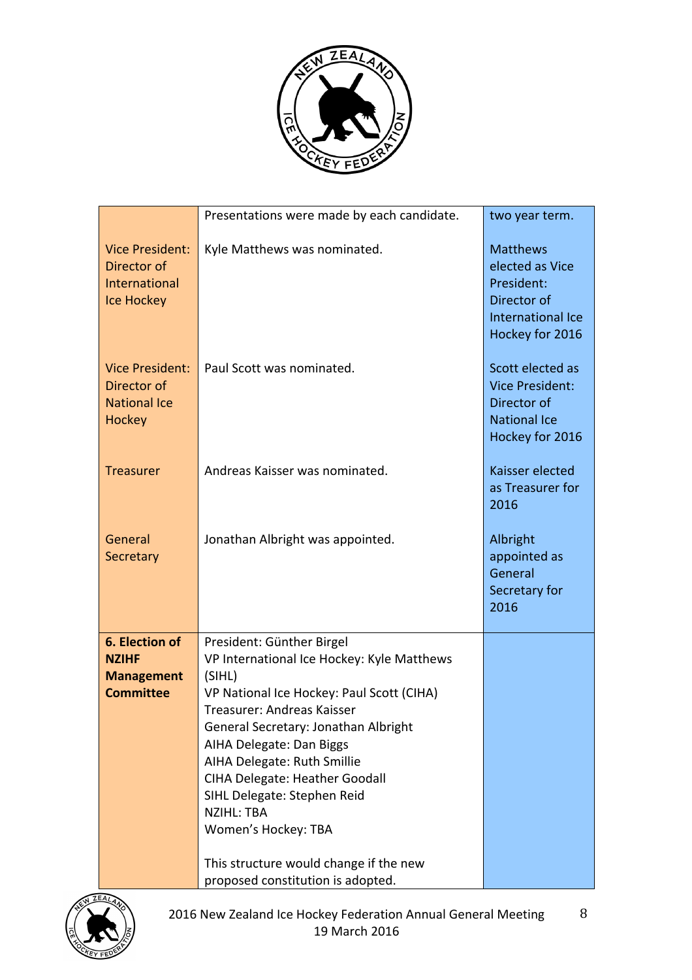

|                                                                                    | Presentations were made by each candidate.                                                                                                                                                                                                                                                                                                                                                                             | two year term.                                                                                          |
|------------------------------------------------------------------------------------|------------------------------------------------------------------------------------------------------------------------------------------------------------------------------------------------------------------------------------------------------------------------------------------------------------------------------------------------------------------------------------------------------------------------|---------------------------------------------------------------------------------------------------------|
| <b>Vice President:</b><br>Director of<br><b>International</b><br><b>Ice Hockey</b> | Kyle Matthews was nominated.                                                                                                                                                                                                                                                                                                                                                                                           | <b>Matthews</b><br>elected as Vice<br>President:<br>Director of<br>International Ice<br>Hockey for 2016 |
| <b>Vice President:</b><br>Director of<br><b>National Ice</b><br>Hockey             | Paul Scott was nominated.                                                                                                                                                                                                                                                                                                                                                                                              | Scott elected as<br><b>Vice President:</b><br>Director of<br><b>National Ice</b><br>Hockey for 2016     |
| <b>Treasurer</b>                                                                   | Andreas Kaisser was nominated.                                                                                                                                                                                                                                                                                                                                                                                         | Kaisser elected<br>as Treasurer for<br>2016                                                             |
| General<br>Secretary                                                               | Jonathan Albright was appointed.                                                                                                                                                                                                                                                                                                                                                                                       | Albright<br>appointed as<br>General<br>Secretary for<br>2016                                            |
| <b>6. Election of</b><br><b>NZIHF</b><br><b>Management</b><br><b>Committee</b>     | President: Günther Birgel<br>VP International Ice Hockey: Kyle Matthews<br>(SIHL)<br>VP National Ice Hockey: Paul Scott (CIHA)<br>Treasurer: Andreas Kaisser<br>General Secretary: Jonathan Albright<br>AIHA Delegate: Dan Biggs<br>AIHA Delegate: Ruth Smillie<br>CIHA Delegate: Heather Goodall<br>SIHL Delegate: Stephen Reid<br><b>NZIHL: TBA</b><br>Women's Hockey: TBA<br>This structure would change if the new |                                                                                                         |
|                                                                                    | proposed constitution is adopted.                                                                                                                                                                                                                                                                                                                                                                                      |                                                                                                         |

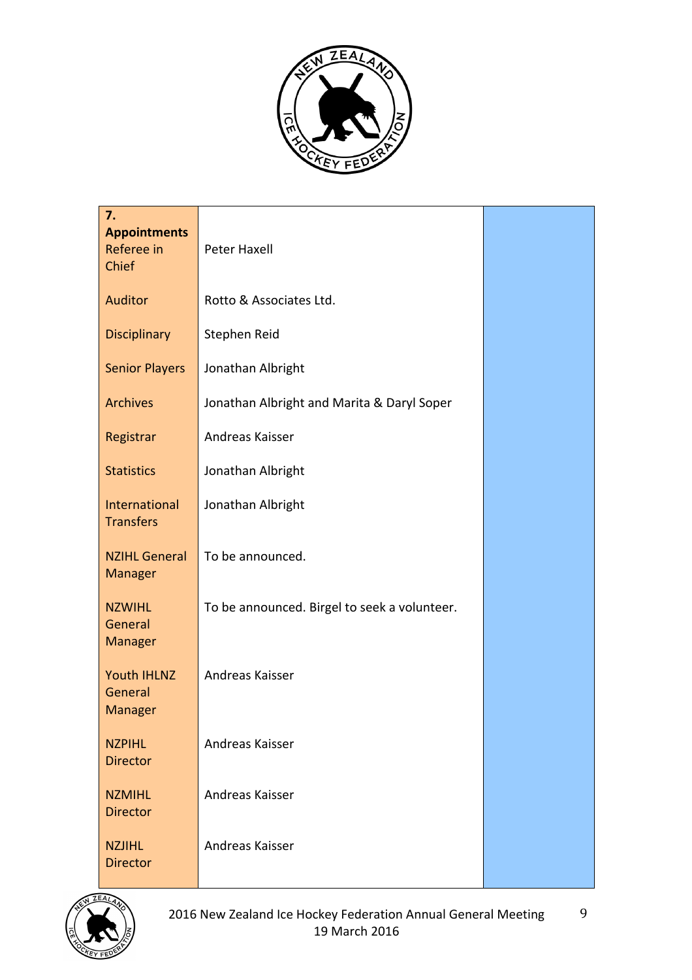

| 7.<br><b>Appointments</b><br>Referee in<br>Chief | <b>Peter Haxell</b>                          |  |
|--------------------------------------------------|----------------------------------------------|--|
| <b>Auditor</b>                                   | Rotto & Associates Ltd.                      |  |
| <b>Disciplinary</b>                              | Stephen Reid                                 |  |
| <b>Senior Players</b>                            | Jonathan Albright                            |  |
| <b>Archives</b>                                  | Jonathan Albright and Marita & Daryl Soper   |  |
| Registrar                                        | Andreas Kaisser                              |  |
| <b>Statistics</b>                                | Jonathan Albright                            |  |
| International<br><b>Transfers</b>                | Jonathan Albright                            |  |
| <b>NZIHL General</b><br><b>Manager</b>           | To be announced.                             |  |
| <b>NZWIHL</b><br>General<br>Manager              | To be announced. Birgel to seek a volunteer. |  |
| <b>Youth IHLNZ</b><br>General<br><b>Manager</b>  | Andreas Kaisser                              |  |
| <b>NZPIHL</b><br><b>Director</b>                 | Andreas Kaisser                              |  |
| <b>NZMIHL</b><br><b>Director</b>                 | Andreas Kaisser                              |  |
| <b>NZJIHL</b><br><b>Director</b>                 | Andreas Kaisser                              |  |

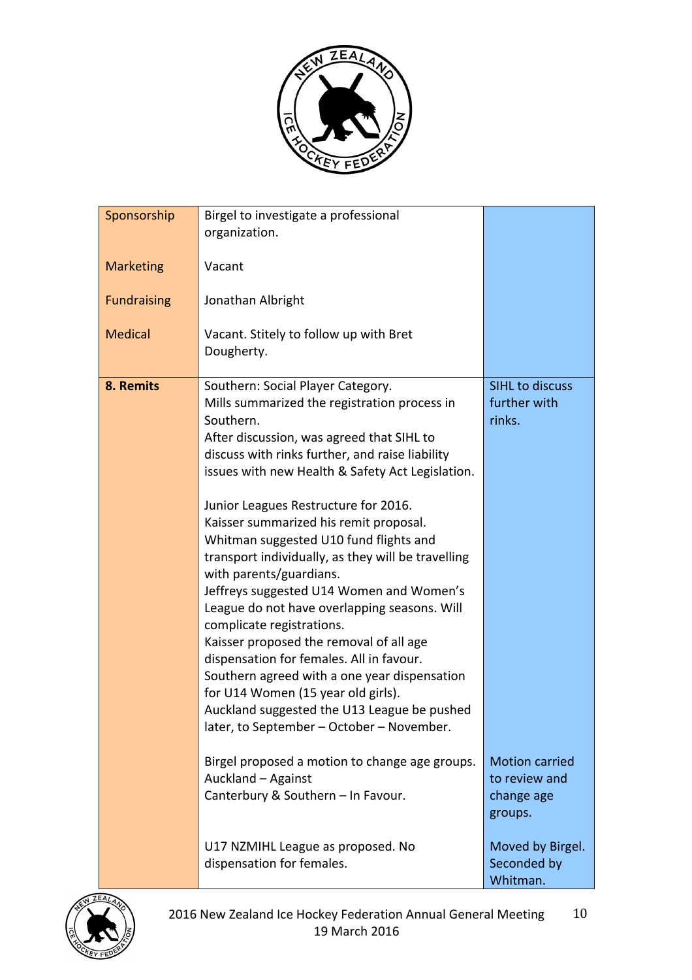

| Sponsorship        | Birgel to investigate a professional                                                                                                                                                                                                                                                                                                                                                                                                                                                                                                                                                                                                                                                                                                                                                                                                                              |                                                                 |
|--------------------|-------------------------------------------------------------------------------------------------------------------------------------------------------------------------------------------------------------------------------------------------------------------------------------------------------------------------------------------------------------------------------------------------------------------------------------------------------------------------------------------------------------------------------------------------------------------------------------------------------------------------------------------------------------------------------------------------------------------------------------------------------------------------------------------------------------------------------------------------------------------|-----------------------------------------------------------------|
|                    | organization.                                                                                                                                                                                                                                                                                                                                                                                                                                                                                                                                                                                                                                                                                                                                                                                                                                                     |                                                                 |
| <b>Marketing</b>   | Vacant                                                                                                                                                                                                                                                                                                                                                                                                                                                                                                                                                                                                                                                                                                                                                                                                                                                            |                                                                 |
| <b>Fundraising</b> | Jonathan Albright                                                                                                                                                                                                                                                                                                                                                                                                                                                                                                                                                                                                                                                                                                                                                                                                                                                 |                                                                 |
| <b>Medical</b>     | Vacant. Stitely to follow up with Bret<br>Dougherty.                                                                                                                                                                                                                                                                                                                                                                                                                                                                                                                                                                                                                                                                                                                                                                                                              |                                                                 |
| 8. Remits          | Southern: Social Player Category.<br>Mills summarized the registration process in<br>Southern.<br>After discussion, was agreed that SIHL to<br>discuss with rinks further, and raise liability<br>issues with new Health & Safety Act Legislation.<br>Junior Leagues Restructure for 2016.<br>Kaisser summarized his remit proposal.<br>Whitman suggested U10 fund flights and<br>transport individually, as they will be travelling<br>with parents/guardians.<br>Jeffreys suggested U14 Women and Women's<br>League do not have overlapping seasons. Will<br>complicate registrations.<br>Kaisser proposed the removal of all age<br>dispensation for females. All in favour.<br>Southern agreed with a one year dispensation<br>for U14 Women (15 year old girls).<br>Auckland suggested the U13 League be pushed<br>later, to September - October - November. | <b>SIHL to discuss</b><br>further with<br>rinks.                |
|                    | Birgel proposed a motion to change age groups.<br>Auckland - Against<br>Canterbury & Southern - In Favour.                                                                                                                                                                                                                                                                                                                                                                                                                                                                                                                                                                                                                                                                                                                                                        | <b>Motion carried</b><br>to review and<br>change age<br>groups. |
|                    | U17 NZMIHL League as proposed. No<br>dispensation for females.                                                                                                                                                                                                                                                                                                                                                                                                                                                                                                                                                                                                                                                                                                                                                                                                    | Moved by Birgel.<br>Seconded by<br>Whitman.                     |

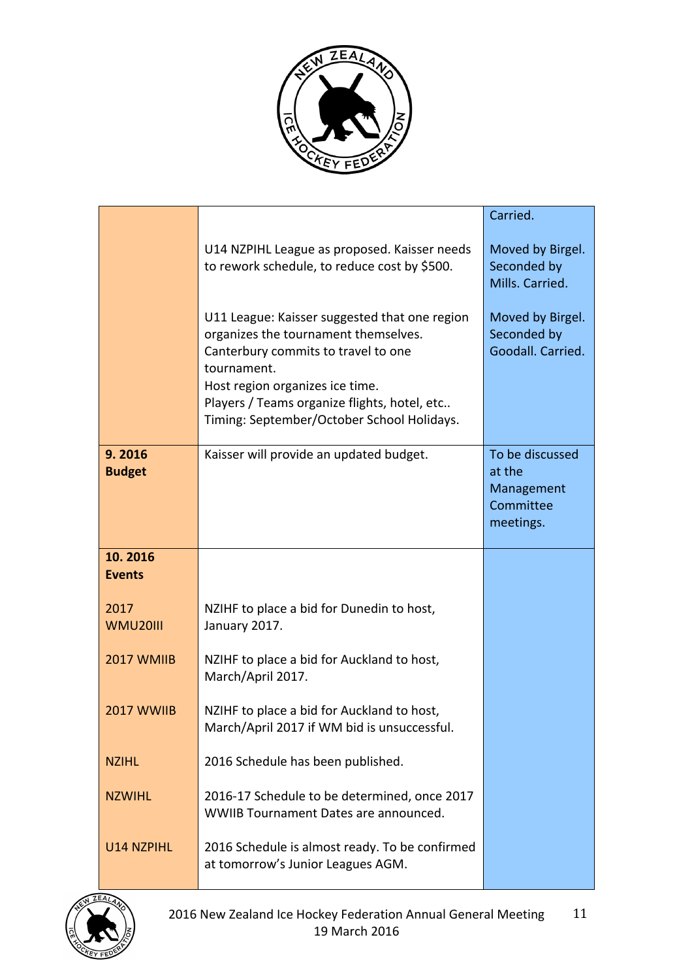

|                          |                                                                                                                                                                                                                                                                              | Carried.                                                          |
|--------------------------|------------------------------------------------------------------------------------------------------------------------------------------------------------------------------------------------------------------------------------------------------------------------------|-------------------------------------------------------------------|
|                          | U14 NZPIHL League as proposed. Kaisser needs<br>to rework schedule, to reduce cost by \$500.                                                                                                                                                                                 | Moved by Birgel.<br>Seconded by<br>Mills. Carried.                |
|                          | U11 League: Kaisser suggested that one region<br>organizes the tournament themselves.<br>Canterbury commits to travel to one<br>tournament.<br>Host region organizes ice time.<br>Players / Teams organize flights, hotel, etc<br>Timing: September/October School Holidays. | Moved by Birgel.<br>Seconded by<br>Goodall. Carried.              |
| 9.2016<br><b>Budget</b>  | Kaisser will provide an updated budget.                                                                                                                                                                                                                                      | To be discussed<br>at the<br>Management<br>Committee<br>meetings. |
| 10.2016<br><b>Events</b> |                                                                                                                                                                                                                                                                              |                                                                   |
| 2017<br><b>WMU20III</b>  | NZIHF to place a bid for Dunedin to host,<br>January 2017.                                                                                                                                                                                                                   |                                                                   |
| <b>2017 WMIIB</b>        | NZIHF to place a bid for Auckland to host,<br>March/April 2017.                                                                                                                                                                                                              |                                                                   |
| <b>2017 WWIIB</b>        | NZIHF to place a bid for Auckland to host,<br>March/April 2017 if WM bid is unsuccessful.                                                                                                                                                                                    |                                                                   |
| <b>NZIHL</b>             | 2016 Schedule has been published.                                                                                                                                                                                                                                            |                                                                   |
| <b>NZWIHL</b>            | 2016-17 Schedule to be determined, once 2017<br>WWIIB Tournament Dates are announced.                                                                                                                                                                                        |                                                                   |
| <b>U14 NZPIHL</b>        | 2016 Schedule is almost ready. To be confirmed<br>at tomorrow's Junior Leagues AGM.                                                                                                                                                                                          |                                                                   |

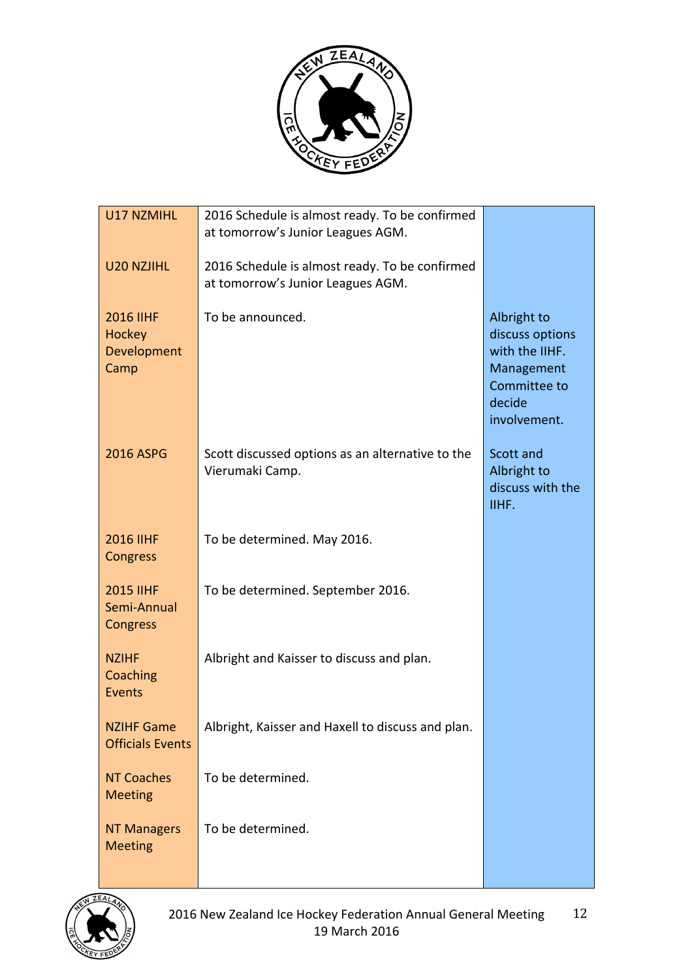

| U17 NZMIHL              | 2016 Schedule is almost ready. To be confirmed    |                  |
|-------------------------|---------------------------------------------------|------------------|
|                         | at tomorrow's Junior Leagues AGM.                 |                  |
|                         |                                                   |                  |
| U20 NZJIHL              | 2016 Schedule is almost ready. To be confirmed    |                  |
|                         | at tomorrow's Junior Leagues AGM.                 |                  |
|                         |                                                   |                  |
| <b>2016 IIHF</b>        | To be announced.                                  | Albright to      |
| <b>Hockey</b>           |                                                   | discuss options  |
| Development             |                                                   | with the IIHF.   |
| Camp                    |                                                   | Management       |
|                         |                                                   | Committee to     |
|                         |                                                   | decide           |
|                         |                                                   | involvement.     |
| <b>2016 ASPG</b>        | Scott discussed options as an alternative to the  | Scott and        |
|                         | Vierumaki Camp.                                   | Albright to      |
|                         |                                                   | discuss with the |
|                         |                                                   | IIHF.            |
|                         |                                                   |                  |
| <b>2016 IIHF</b>        | To be determined. May 2016.                       |                  |
| Congress                |                                                   |                  |
| <b>2015 IIHF</b>        | To be determined. September 2016.                 |                  |
| Semi-Annual             |                                                   |                  |
| Congress                |                                                   |                  |
|                         |                                                   |                  |
| <b>NZIHF</b>            | Albright and Kaisser to discuss and plan.         |                  |
| Coaching                |                                                   |                  |
| <b>Events</b>           |                                                   |                  |
| <b>NZIHF Game</b>       | Albright, Kaisser and Haxell to discuss and plan. |                  |
| <b>Officials Events</b> |                                                   |                  |
|                         |                                                   |                  |
| <b>NT Coaches</b>       | To be determined.                                 |                  |
| <b>Meeting</b>          |                                                   |                  |
| <b>NT Managers</b>      | To be determined.                                 |                  |
| <b>Meeting</b>          |                                                   |                  |
|                         |                                                   |                  |
|                         |                                                   |                  |

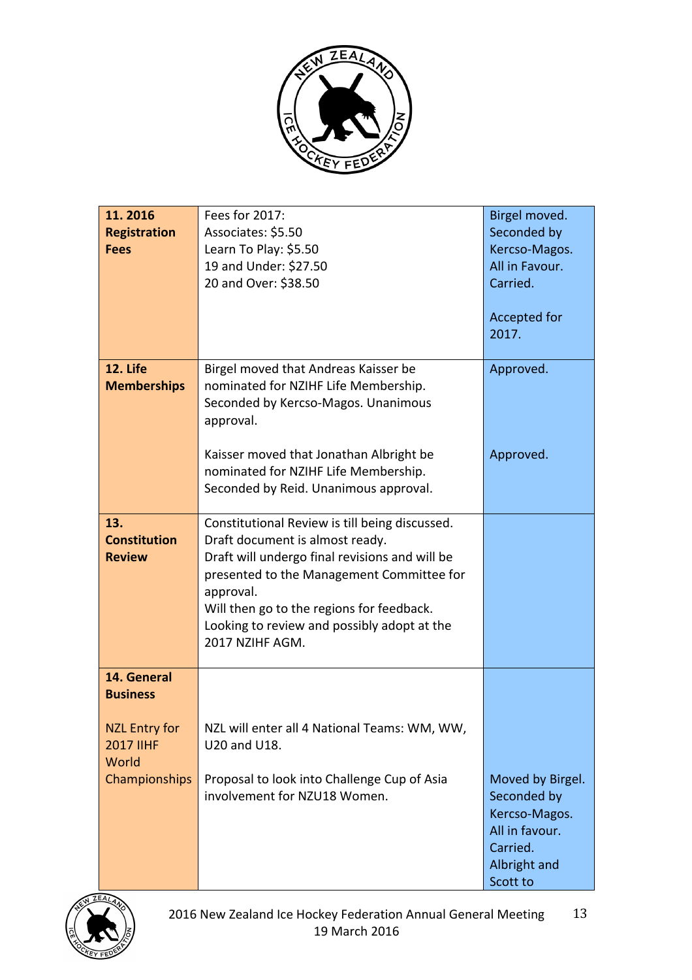

| 11.2016                        | Fees for 2017:                                 | Birgel moved.         |
|--------------------------------|------------------------------------------------|-----------------------|
| <b>Registration</b>            | Associates: \$5.50                             | Seconded by           |
| <b>Fees</b>                    | Learn To Play: \$5.50                          | Kercso-Magos.         |
|                                | 19 and Under: \$27.50                          | All in Favour.        |
|                                | 20 and Over: \$38.50                           | Carried.              |
|                                |                                                | Accepted for<br>2017. |
|                                |                                                |                       |
| 12. Life                       | Birgel moved that Andreas Kaisser be           | Approved.             |
| <b>Memberships</b>             | nominated for NZIHF Life Membership.           |                       |
|                                | Seconded by Kercso-Magos. Unanimous            |                       |
|                                | approval.                                      |                       |
|                                |                                                |                       |
|                                | Kaisser moved that Jonathan Albright be        | Approved.             |
|                                | nominated for NZIHF Life Membership.           |                       |
|                                | Seconded by Reid. Unanimous approval.          |                       |
| 13.                            | Constitutional Review is till being discussed. |                       |
| <b>Constitution</b>            | Draft document is almost ready.                |                       |
| <b>Review</b>                  | Draft will undergo final revisions and will be |                       |
|                                | presented to the Management Committee for      |                       |
|                                | approval.                                      |                       |
|                                | Will then go to the regions for feedback.      |                       |
|                                | Looking to review and possibly adopt at the    |                       |
|                                | 2017 NZIHF AGM.                                |                       |
|                                |                                                |                       |
| 14. General<br><b>Business</b> |                                                |                       |
| <b>NZL Entry for</b>           | NZL will enter all 4 National Teams: WM, WW,   |                       |
| <b>2017 IIHF</b>               | U20 and U18.                                   |                       |
| World                          |                                                |                       |
| Championships                  | Proposal to look into Challenge Cup of Asia    | Moved by Birgel.      |
|                                | involvement for NZU18 Women.                   | Seconded by           |
|                                |                                                | Kercso-Magos.         |
|                                |                                                | All in favour.        |
|                                |                                                | Carried.              |
|                                |                                                | Albright and          |
|                                |                                                | Scott to              |

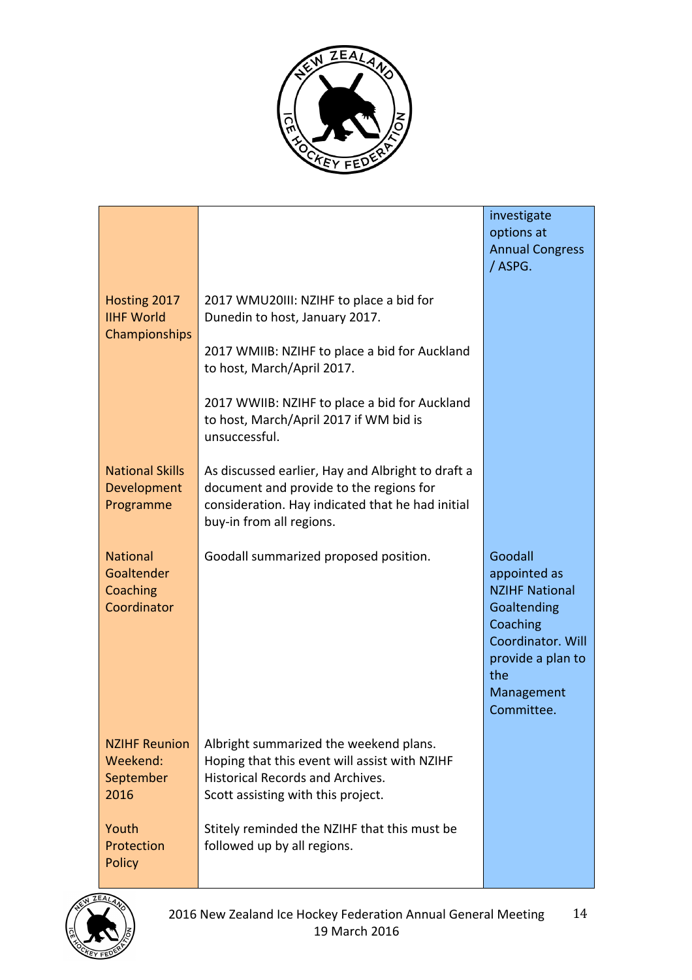

|                                                          |                                                                                                                                                                              | investigate<br>options at<br><b>Annual Congress</b><br>/ASPG.                                                                                            |
|----------------------------------------------------------|------------------------------------------------------------------------------------------------------------------------------------------------------------------------------|----------------------------------------------------------------------------------------------------------------------------------------------------------|
| Hosting 2017<br><b>IIHF World</b><br>Championships       | 2017 WMU20III: NZIHF to place a bid for<br>Dunedin to host, January 2017.                                                                                                    |                                                                                                                                                          |
|                                                          | 2017 WMIIB: NZIHF to place a bid for Auckland<br>to host, March/April 2017.                                                                                                  |                                                                                                                                                          |
|                                                          | 2017 WWIIB: NZIHF to place a bid for Auckland<br>to host, March/April 2017 if WM bid is<br>unsuccessful.                                                                     |                                                                                                                                                          |
| <b>National Skills</b><br>Development<br>Programme       | As discussed earlier, Hay and Albright to draft a<br>document and provide to the regions for<br>consideration. Hay indicated that he had initial<br>buy-in from all regions. |                                                                                                                                                          |
| <b>National</b><br>Goaltender<br>Coaching<br>Coordinator | Goodall summarized proposed position.                                                                                                                                        | Goodall<br>appointed as<br><b>NZIHF National</b><br>Goaltending<br>Coaching<br>Coordinator. Will<br>provide a plan to<br>the<br>Management<br>Committee. |
| <b>NZIHF Reunion</b><br>Weekend:<br>September<br>2016    | Albright summarized the weekend plans.<br>Hoping that this event will assist with NZIHF<br><b>Historical Records and Archives.</b><br>Scott assisting with this project.     |                                                                                                                                                          |
| Youth<br>Protection<br><b>Policy</b>                     | Stitely reminded the NZIHF that this must be<br>followed up by all regions.                                                                                                  |                                                                                                                                                          |